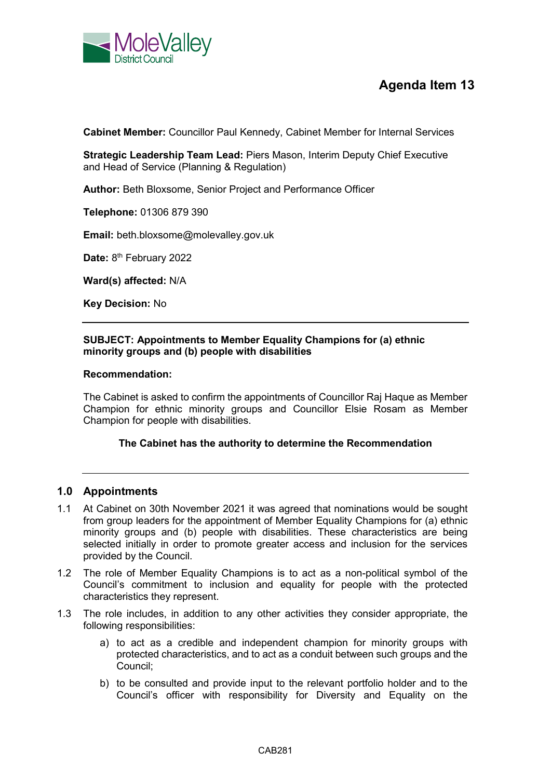

# **Agenda Item 13**

**Cabinet Member:** Councillor Paul Kennedy, Cabinet Member for Internal Services

**Strategic Leadership Team Lead:** Piers Mason, Interim Deputy Chief Executive and Head of Service (Planning & Regulation)

**Author:** Beth Bloxsome, Senior Project and Performance Officer

**Telephone:** 01306 879 390

**Email:** beth.bloxsome@molevalley.gov.uk

Date: 8<sup>th</sup> February 2022

**Ward(s) affected:** N/A

**Key Decision:** No

# **SUBJECT: Appointments to Member Equality Champions for (a) ethnic minority groups and (b) people with disabilities**

#### **Recommendation:**

The Cabinet is asked to confirm the appointments of Councillor Raj Haque as Member Champion for ethnic minority groups and Councillor Elsie Rosam as Member Champion for people with disabilities.

## **The Cabinet has the authority to determine the Recommendation**

# **1.0 Appointments**

- 1.1 At Cabinet on 30th November 2021 it was agreed that nominations would be sought from group leaders for the appointment of Member Equality Champions for (a) ethnic minority groups and (b) people with disabilities. These characteristics are being selected initially in order to promote greater access and inclusion for the services provided by the Council.
- 1.2 The role of Member Equality Champions is to act as a non-political symbol of the Council's commitment to inclusion and equality for people with the protected characteristics they represent.
- 1.3 The role includes, in addition to any other activities they consider appropriate, the following responsibilities:
	- a) to act as a credible and independent champion for minority groups with protected characteristics, and to act as a conduit between such groups and the Council;
	- b) to be consulted and provide input to the relevant portfolio holder and to the Council's officer with responsibility for Diversity and Equality on the